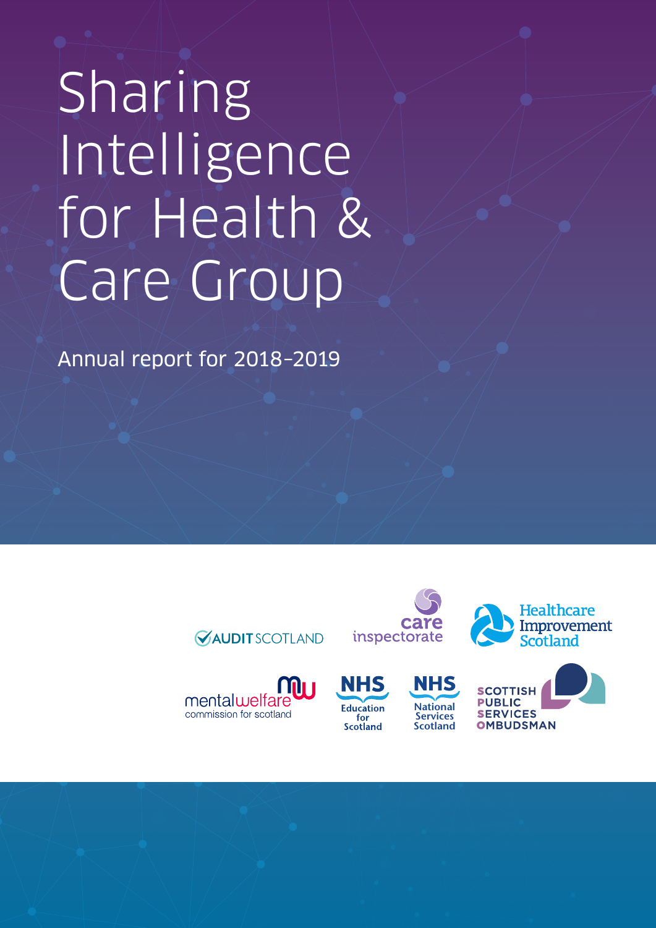# Sharing Intelligence for Health & Care Group

Annual report for 2018–2019









NHS **National Services Scotland**

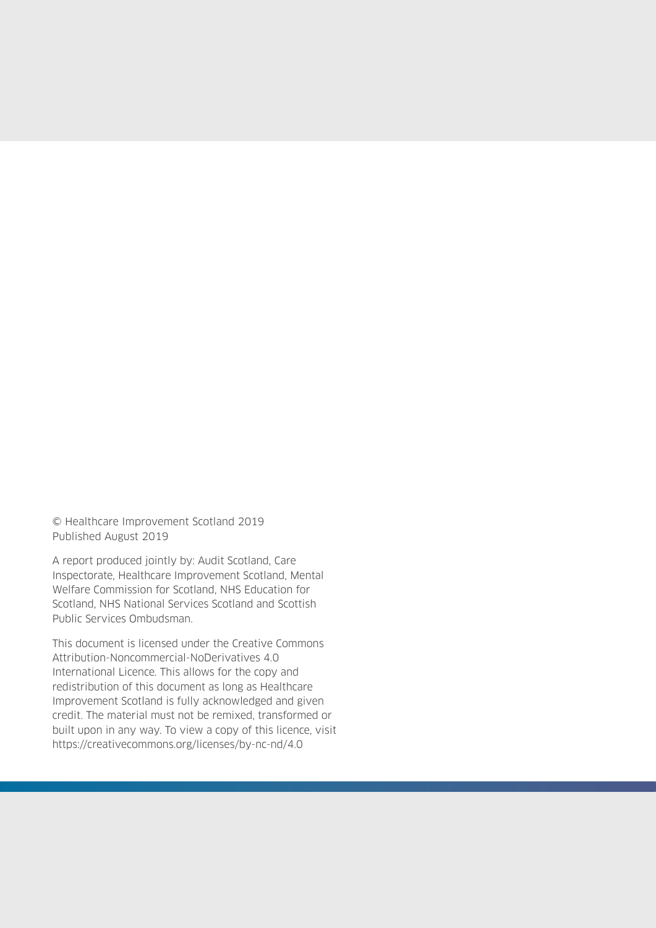© Healthcare Improvement Scotland 2019 Published August 2019

A report produced jointly by: Audit Scotland, Care Inspectorate, Healthcare Improvement Scotland, Mental Welfare Commission for Scotland, NHS Education for Scotland, NHS National Services Scotland and Scottish Public Services Ombudsman.

This document is licensed under the Creative Commons Attribution-Noncommercial-NoDerivatives 4.0 International Licence. This allows for the copy and redistribution of this document as long as Healthcare Improvement Scotland is fully acknowledged and given credit. The material must not be remixed, transformed or built upon in any way. To view a copy of this licence, visit [https://creativecommons.org/licenses/by-nc-nd/4.0](https://creativecommons.org/licenses/by-nc-nd/4.0/)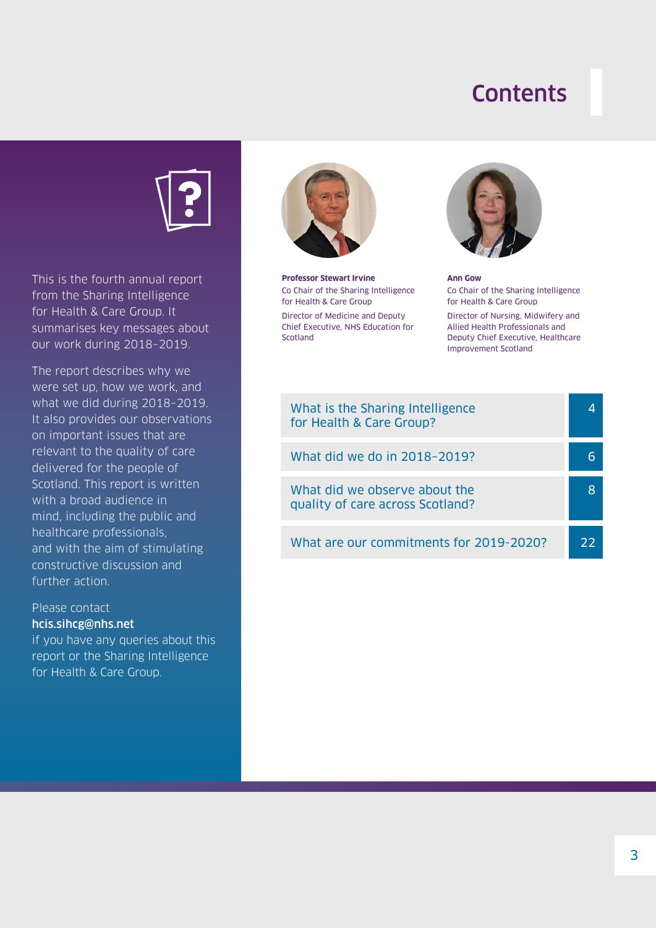# **Contents**



This is the fourth annual report from the Sharing Intelligence for Health & Care Group. It summarises key messages about our work during 2018–2019.

The report describes why we were set up, how we work, and what we did during 2018–2019. It also provides our observations on important issues that are relevant to the quality of care delivered for the people of Scotland. This report is written with a broad audience in mind, including the public and healthcare professionals, and with the aim of stimulating constructive discussion and further action.

#### Please contact hcis.sihcg@nhs.net

if you have any queries about this report or the Sharing Intelligence for Health & Care Group.



**Professor Stewart Irvine** Co Chair of the Sharing Intelligence for Health & Care Group Director of Medicine and Deputy Chief Executive, NHS Education for Scotland



**Ann Gow** Co Chair of the Sharing Intelligence for Health & Care Group Director of Nursing, Midwifery and Allied Health Professionals and Deputy Chief Executive, Healthcare Improvement Scotland

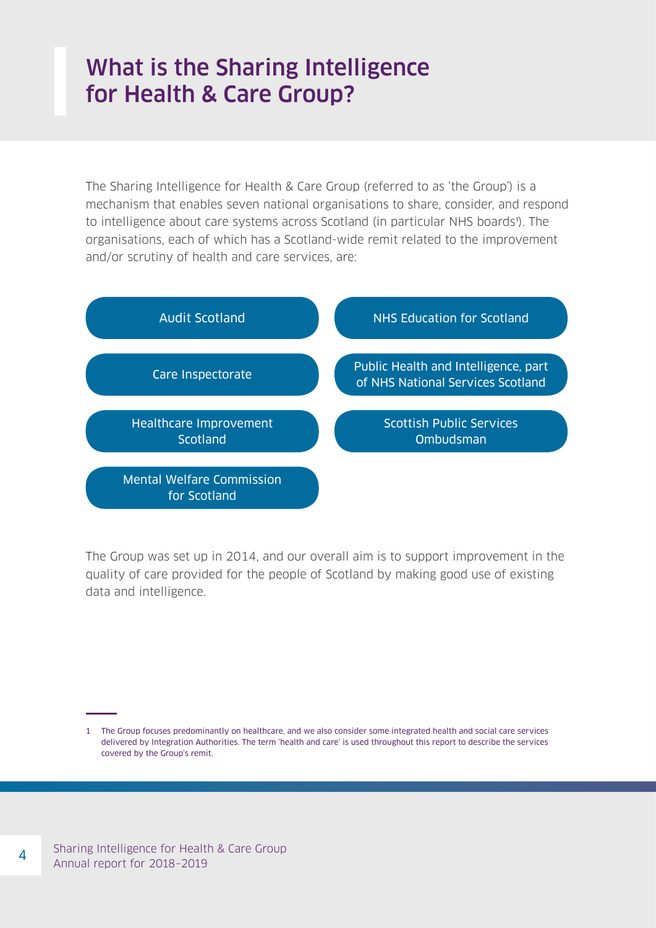## <span id="page-3-0"></span>What is the Sharing Intelligence for Health & Care Group?

The Sharing Intelligence for Health & Care Group (referred to as 'the Group') is a mechanism that enables seven national organisations to share, consider, and respond to intelligence about care systems across Scotland (in particular NHS boards<sup>1</sup>). The organisations, each of which has a Scotland-wide remit related to the improvement and/or scrutiny of health and care services, are:



The Group was set up in 2014, and our overall aim is to support improvement in the quality of care provided for the people of Scotland by making good use of existing data and intelligence.

<sup>1</sup> The Group focuses predominantly on healthcare, and we also consider some integrated health and social care services delivered by Integration Authorities. The term 'health and care' is used throughout this report to describe the services covered by the Group's remit.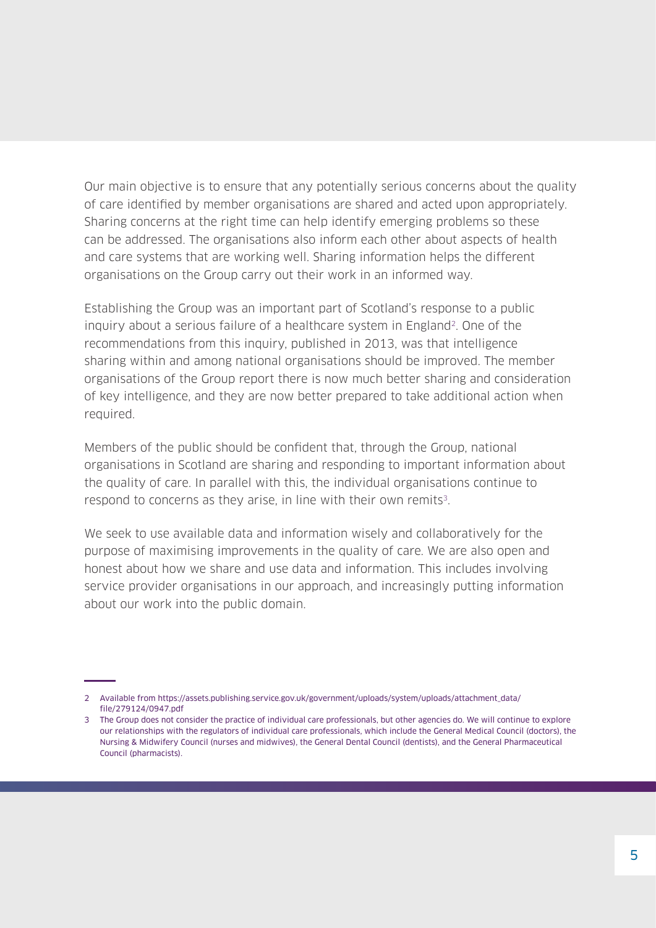Our main objective is to ensure that any potentially serious concerns about the quality of care identified by member organisations are shared and acted upon appropriately. Sharing concerns at the right time can help identify emerging problems so these can be addressed. The organisations also inform each other about aspects of health and care systems that are working well. Sharing information helps the different organisations on the Group carry out their work in an informed way.

Establishing the Group was an important part of Scotland's response to a public inquiry about a serious failure of a healthcare system in England2. One of the recommendations from this inquiry, published in 2013, was that intelligence sharing within and among national organisations should be improved. The member organisations of the Group report there is now much better sharing and consideration of key intelligence, and they are now better prepared to take additional action when required.

Members of the public should be confident that, through the Group, national organisations in Scotland are sharing and responding to important information about the quality of care. In parallel with this, the individual organisations continue to respond to concerns as they arise, in line with their own remits<sup>3</sup>.

We seek to use available data and information wisely and collaboratively for the purpose of maximising improvements in the quality of care. We are also open and honest about how we share and use data and information. This includes involving service provider organisations in our approach, and increasingly putting information about our work into the public domain.

<sup>2</sup> Available from [https://assets.publishing.service.gov.uk/government/uploads/system/uploads/attachment\\_data/](https://assets.publishing.service.gov.uk/government/uploads/system/uploads/attachment_data/file/279124/0947.pdf) [file/279124/0947.pdf](https://assets.publishing.service.gov.uk/government/uploads/system/uploads/attachment_data/file/279124/0947.pdf)

<sup>3</sup> The Group does not consider the practice of individual care professionals, but other agencies do. We will continue to explore our relationships with the regulators of individual care professionals, which include the General Medical Council (doctors), the Nursing & Midwifery Council (nurses and midwives), the General Dental Council (dentists), and the General Pharmaceutical Council (pharmacists).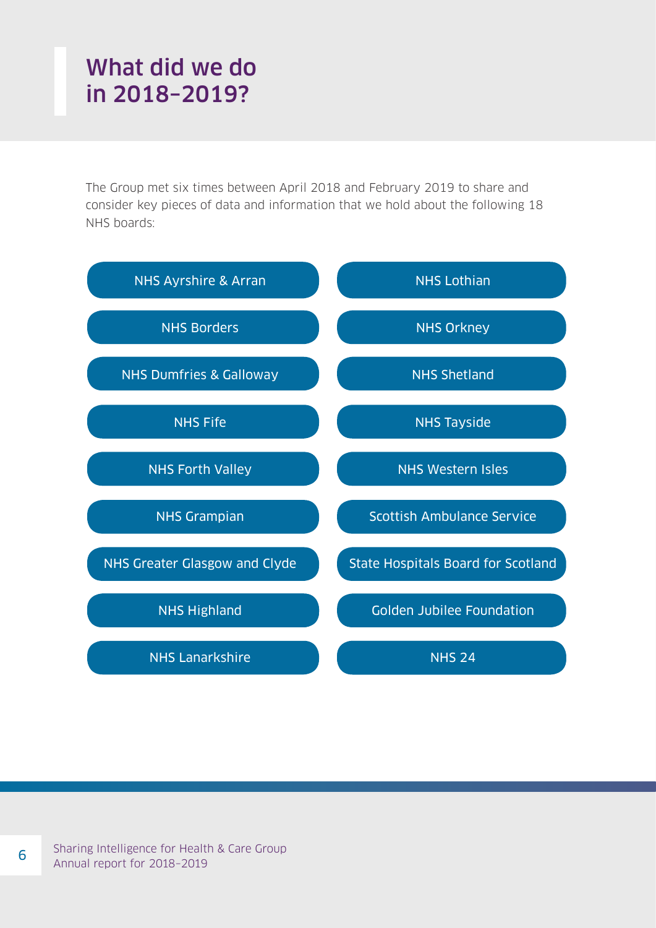# <span id="page-5-0"></span>What did we do in 2018–2019?

The Group met six times between April 2018 and February 2019 to share and consider key pieces of data and information that we hold about the following 18 NHS boards:

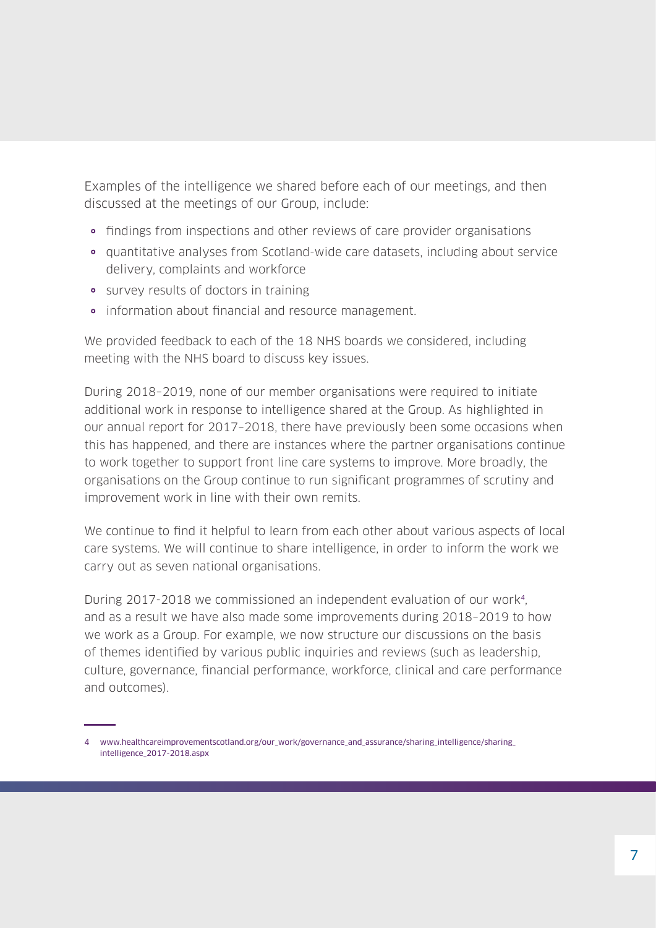Examples of the intelligence we shared before each of our meetings, and then discussed at the meetings of our Group, include:

- findings from inspections and other reviews of care provider organisations
- quantitative analyses from Scotland-wide care datasets, including about service delivery, complaints and workforce
- survey results of doctors in training
- information about financial and resource management.

We provided feedback to each of the 18 NHS boards we considered, including meeting with the NHS board to discuss key issues.

During 2018–2019, none of our member organisations were required to initiate additional work in response to intelligence shared at the Group. As highlighted in our annual report for 2017–2018, there have previously been some occasions when this has happened, and there are instances where the partner organisations continue to work together to support front line care systems to improve. More broadly, the organisations on the Group continue to run significant programmes of scrutiny and improvement work in line with their own remits.

We continue to find it helpful to learn from each other about various aspects of local care systems. We will continue to share intelligence, in order to inform the work we carry out as seven national organisations.

During 2017-2018 we commissioned an independent evaluation of our work4, and as a result we have also made some improvements during 2018–2019 to how we work as a Group. For example, we now structure our discussions on the basis of themes identified by various public inquiries and reviews (such as leadership, culture, governance, financial performance, workforce, clinical and care performance and outcomes).

<sup>4</sup> [www.healthcareimprovementscotland.org/our\\_work/governance\\_and\\_assurance/sharing\\_intelligence/sharing\\_](http://www.healthcareimprovementscotland.org/our_work/governance_and_assurance/sharing_intelligence/sharing_intelligence_2017-2018.aspx) [intelligence\\_2017-2018.aspx](http://www.healthcareimprovementscotland.org/our_work/governance_and_assurance/sharing_intelligence/sharing_intelligence_2017-2018.aspx)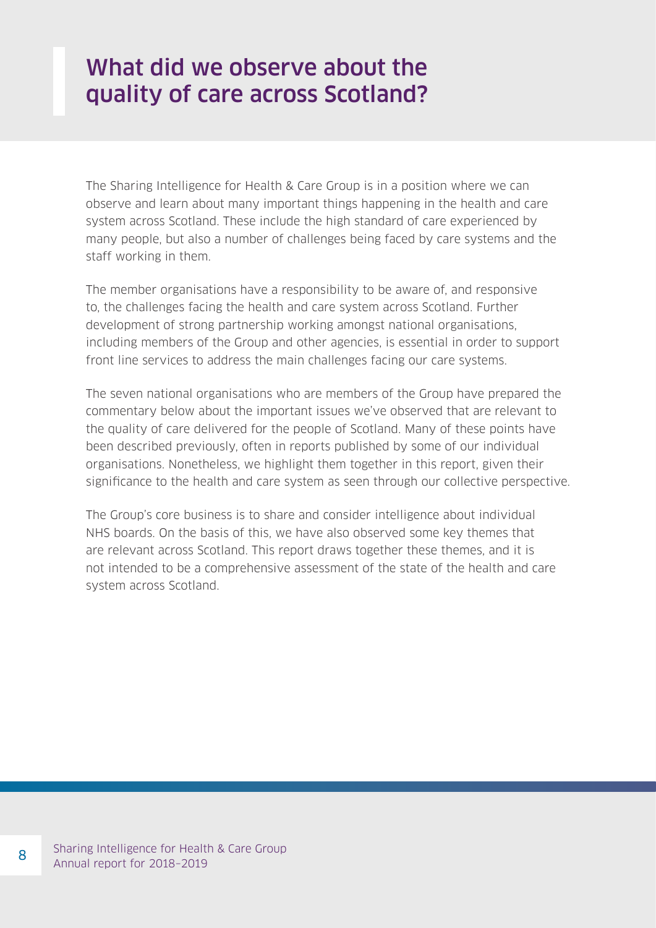## <span id="page-7-0"></span>What did we observe about the quality of care across Scotland?

The Sharing Intelligence for Health & Care Group is in a position where we can observe and learn about many important things happening in the health and care system across Scotland. These include the high standard of care experienced by many people, but also a number of challenges being faced by care systems and the staff working in them.

The member organisations have a responsibility to be aware of, and responsive to, the challenges facing the health and care system across Scotland. Further development of strong partnership working amongst national organisations, including members of the Group and other agencies, is essential in order to support front line services to address the main challenges facing our care systems.

The seven national organisations who are members of the Group have prepared the commentary below about the important issues we've observed that are relevant to the quality of care delivered for the people of Scotland. Many of these points have been described previously, often in reports published by some of our individual organisations. Nonetheless, we highlight them together in this report, given their significance to the health and care system as seen through our collective perspective.

The Group's core business is to share and consider intelligence about individual NHS boards. On the basis of this, we have also observed some key themes that are relevant across Scotland. This report draws together these themes, and it is not intended to be a comprehensive assessment of the state of the health and care system across Scotland.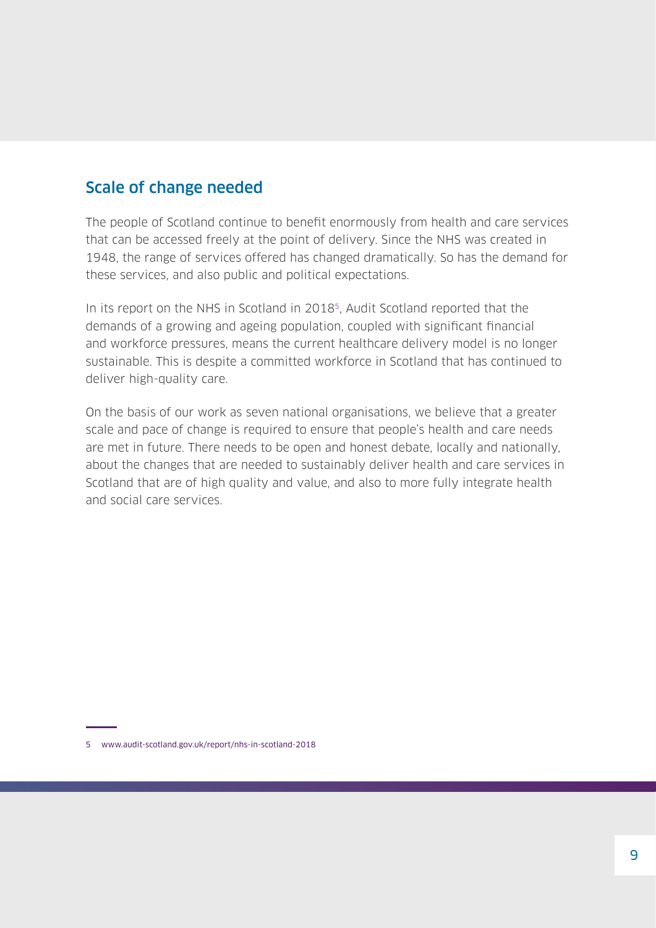#### Scale of change needed

The people of Scotland continue to benefit enormously from health and care services that can be accessed freely at the point of delivery. Since the NHS was created in 1948, the range of services offered has changed dramatically. So has the demand for these services, and also public and political expectations.

In its report on the NHS in Scotland in 20185, Audit Scotland reported that the demands of a growing and ageing population, coupled with significant financial and workforce pressures, means the current healthcare delivery model is no longer sustainable. This is despite a committed workforce in Scotland that has continued to deliver high-quality care.

On the basis of our work as seven national organisations, we believe that a greater scale and pace of change is required to ensure that people's health and care needs are met in future. There needs to be open and honest debate, locally and nationally, about the changes that are needed to sustainably deliver health and care services in Scotland that are of high quality and value, and also to more fully integrate health and social care services.

<sup>5</sup> [www.audit-scotland.gov.uk/report/nhs-in-scotland-2018](https://www.audit-scotland.gov.uk/report/nhs-in-scotland-2018)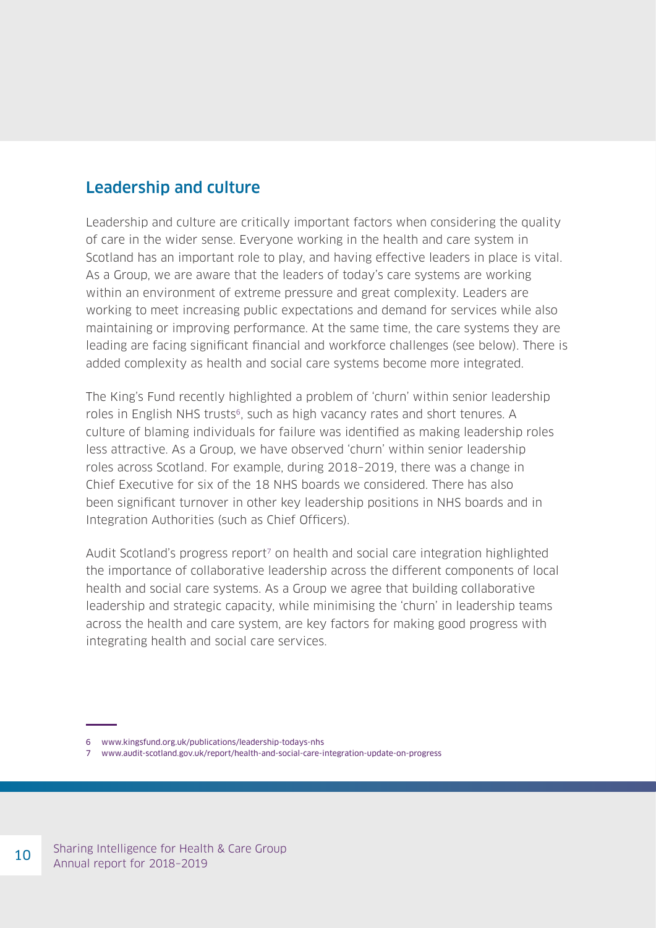## Leadership and culture

Leadership and culture are critically important factors when considering the quality of care in the wider sense. Everyone working in the health and care system in Scotland has an important role to play, and having effective leaders in place is vital. As a Group, we are aware that the leaders of today's care systems are working within an environment of extreme pressure and great complexity. Leaders are working to meet increasing public expectations and demand for services while also maintaining or improving performance. At the same time, the care systems they are leading are facing significant financial and workforce challenges (see below). There is added complexity as health and social care systems become more integrated.

The King's Fund recently highlighted a problem of 'churn' within senior leadership roles in English NHS trusts<sup>6</sup>, such as high vacancy rates and short tenures. A culture of blaming individuals for failure was identified as making leadership roles less attractive. As a Group, we have observed 'churn' within senior leadership roles across Scotland. For example, during 2018–2019, there was a change in Chief Executive for six of the 18 NHS boards we considered. There has also been significant turnover in other key leadership positions in NHS boards and in Integration Authorities (such as Chief Officers).

Audit Scotland's progress report<sup>7</sup> on health and social care integration highlighted the importance of collaborative leadership across the different components of local health and social care systems. As a Group we agree that building collaborative leadership and strategic capacity, while minimising the 'churn' in leadership teams across the health and care system, are key factors for making good progress with integrating health and social care services.

<sup>6</sup> [www.kingsfund.org.uk/publications/leadership-todays-nhs](https://www.kingsfund.org.uk/publications/leadership-todays-nhs)

<sup>7</sup> <www.audit-scotland.gov.uk/report/health-and-social-care-integration-update-on-progress>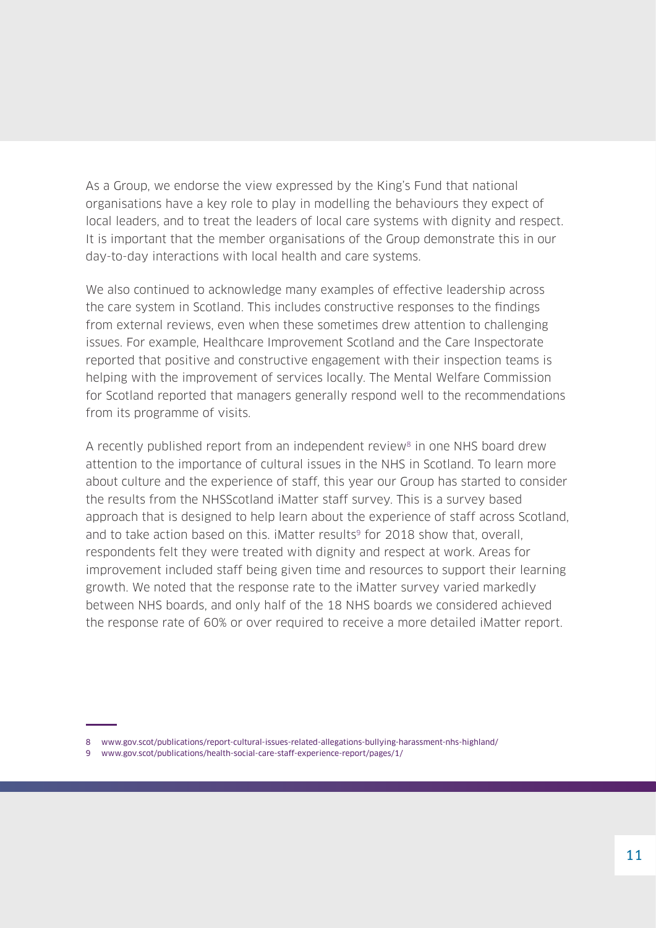As a Group, we endorse the view expressed by the King's Fund that national organisations have a key role to play in modelling the behaviours they expect of local leaders, and to treat the leaders of local care systems with dignity and respect. It is important that the member organisations of the Group demonstrate this in our day-to-day interactions with local health and care systems.

We also continued to acknowledge many examples of effective leadership across the care system in Scotland. This includes constructive responses to the findings from external reviews, even when these sometimes drew attention to challenging issues. For example, Healthcare Improvement Scotland and the Care Inspectorate reported that positive and constructive engagement with their inspection teams is helping with the improvement of services locally. The Mental Welfare Commission for Scotland reported that managers generally respond well to the recommendations from its programme of visits.

A recently published report from an independent review<sup>8</sup> in one NHS board drew attention to the importance of cultural issues in the NHS in Scotland. To learn more about culture and the experience of staff, this year our Group has started to consider the results from the NHSScotland iMatter staff survey. This is a survey based approach that is designed to help learn about the experience of staff across Scotland, and to take action based on this. iMatter results<sup>9</sup> for 2018 show that, overall, respondents felt they were treated with dignity and respect at work. Areas for improvement included staff being given time and resources to support their learning growth. We noted that the response rate to the iMatter survey varied markedly between NHS boards, and only half of the 18 NHS boards we considered achieved the response rate of 60% or over required to receive a more detailed iMatter report.

<sup>8</sup> [www.gov.scot/publications/report-cultural-issues-related-allegations-bullying-harassment-nhs-highland/](https://www.gov.scot/publications/report-cultural-issues-related-allegations-bullying-harassment-nhs-highland/)

<sup>9</sup> [www.gov.scot/publications/health-social-care-staff-experience-report/pages/1/](https://www.gov.scot/publications/health-social-care-staff-experience-report/pages/1/)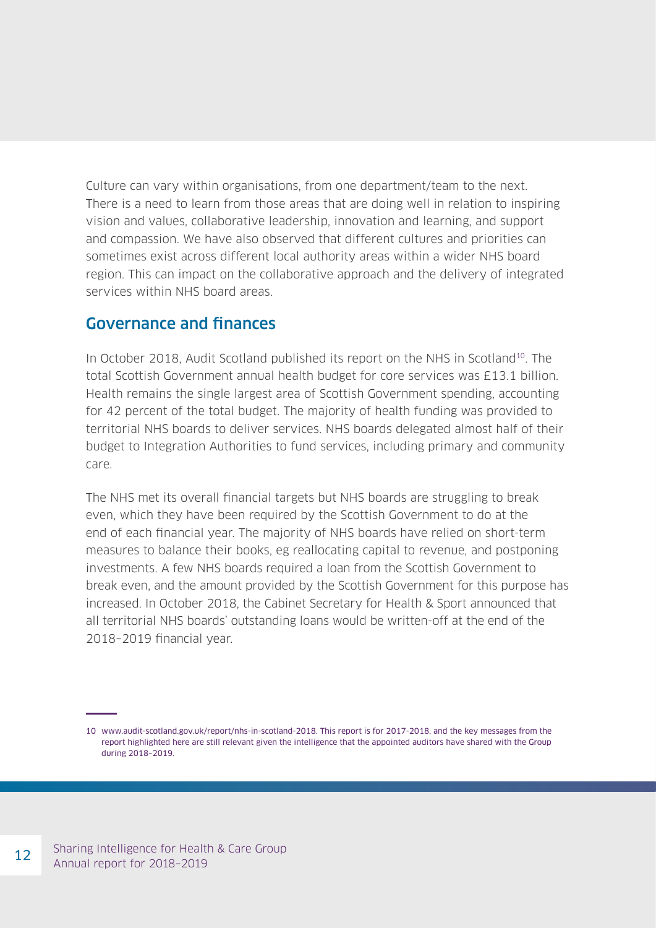Culture can vary within organisations, from one department/team to the next. There is a need to learn from those areas that are doing well in relation to inspiring vision and values, collaborative leadership, innovation and learning, and support and compassion. We have also observed that different cultures and priorities can sometimes exist across different local authority areas within a wider NHS board region. This can impact on the collaborative approach and the delivery of integrated services within NHS board areas.

#### Governance and finances

In October 2018, Audit Scotland published its report on the NHS in Scotland<sup>10</sup>. The total Scottish Government annual health budget for core services was £13.1 billion. Health remains the single largest area of Scottish Government spending, accounting for 42 percent of the total budget. The majority of health funding was provided to territorial NHS boards to deliver services. NHS boards delegated almost half of their budget to Integration Authorities to fund services, including primary and community care.

The NHS met its overall financial targets but NHS boards are struggling to break even, which they have been required by the Scottish Government to do at the end of each financial year. The majority of NHS boards have relied on short-term measures to balance their books, eg reallocating capital to revenue, and postponing investments. A few NHS boards required a loan from the Scottish Government to break even, and the amount provided by the Scottish Government for this purpose has increased. In October 2018, the Cabinet Secretary for Health & Sport announced that all territorial NHS boards' outstanding loans would be written-off at the end of the 2018–2019 financial year.

<sup>10</sup> [www.audit-scotland.gov.uk/report/nhs-in-scotland-2018.](https://www.audit-scotland.gov.uk/report/nhs-in-scotland-2018) This report is for 2017-2018, and the key messages from the report highlighted here are still relevant given the intelligence that the appointed auditors have shared with the Group during 2018–2019.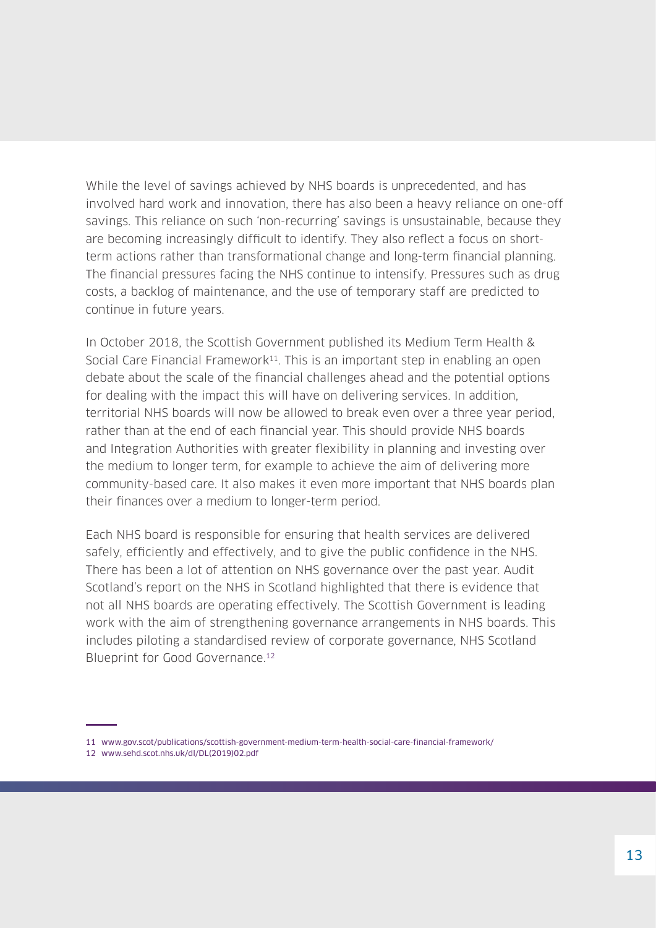While the level of savings achieved by NHS boards is unprecedented, and has involved hard work and innovation, there has also been a heavy reliance on one-off savings. This reliance on such 'non-recurring' savings is unsustainable, because they are becoming increasingly difficult to identify. They also reflect a focus on shortterm actions rather than transformational change and long-term financial planning. The financial pressures facing the NHS continue to intensify. Pressures such as drug costs, a backlog of maintenance, and the use of temporary staff are predicted to continue in future years.

In October 2018, the Scottish Government published its Medium Term Health & Social Care Financial Framework<sup>11</sup>. This is an important step in enabling an open debate about the scale of the financial challenges ahead and the potential options for dealing with the impact this will have on delivering services. In addition, territorial NHS boards will now be allowed to break even over a three year period, rather than at the end of each financial year. This should provide NHS boards and Integration Authorities with greater flexibility in planning and investing over the medium to longer term, for example to achieve the aim of delivering more community-based care. It also makes it even more important that NHS boards plan their finances over a medium to longer-term period.

Each NHS board is responsible for ensuring that health services are delivered safely, efficiently and effectively, and to give the public confidence in the NHS. There has been a lot of attention on NHS governance over the past year. Audit Scotland's report on the NHS in Scotland highlighted that there is evidence that not all NHS boards are operating effectively. The Scottish Government is leading work with the aim of strengthening governance arrangements in NHS boards. This includes piloting a standardised review of corporate governance, NHS Scotland Blueprint for Good Governance.12

<sup>11</sup> [www.gov.scot/publications/scottish-government-medium-term-health-social-care-financial-framework/](https://www.gov.scot/publications/scottish-government-medium-term-health-social-care-financial-framework/)

<sup>12</sup> [www.sehd.scot.nhs.uk/dl/DL\(2019\)02.pdf](https://www.sehd.scot.nhs.uk/dl/DL(2019)02.pdf)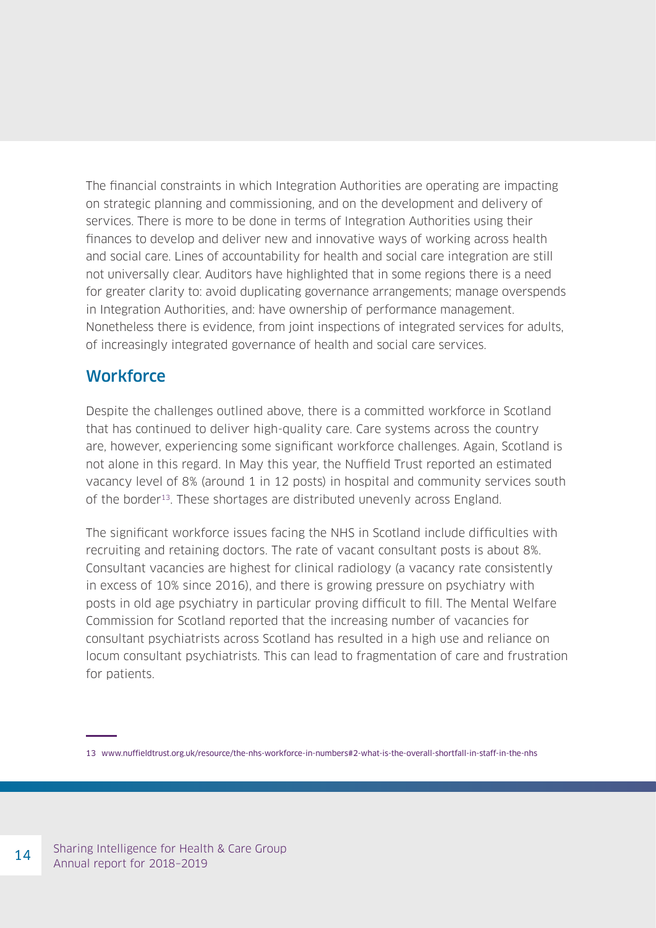The financial constraints in which Integration Authorities are operating are impacting on strategic planning and commissioning, and on the development and delivery of services. There is more to be done in terms of Integration Authorities using their finances to develop and deliver new and innovative ways of working across health and social care. Lines of accountability for health and social care integration are still not universally clear. Auditors have highlighted that in some regions there is a need for greater clarity to: avoid duplicating governance arrangements; manage overspends in Integration Authorities, and: have ownership of performance management. Nonetheless there is evidence, from joint inspections of integrated services for adults, of increasingly integrated governance of health and social care services.

#### **Workforce**

Despite the challenges outlined above, there is a committed workforce in Scotland that has continued to deliver high-quality care. Care systems across the country are, however, experiencing some significant workforce challenges. Again, Scotland is not alone in this regard. In May this year, the Nuffield Trust reported an estimated vacancy level of 8% (around 1 in 12 posts) in hospital and community services south of the border13. These shortages are distributed unevenly across England.

The significant workforce issues facing the NHS in Scotland include difficulties with recruiting and retaining doctors. The rate of vacant consultant posts is about 8%. Consultant vacancies are highest for clinical radiology (a vacancy rate consistently in excess of 10% since 2016), and there is growing pressure on psychiatry with posts in old age psychiatry in particular proving difficult to fill. The Mental Welfare Commission for Scotland reported that the increasing number of vacancies for consultant psychiatrists across Scotland has resulted in a high use and reliance on locum consultant psychiatrists. This can lead to fragmentation of care and frustration for patients.

<sup>13</sup> [www.nuffieldtrust.org.uk/resource/the-nhs-workforce-in-numbers#2-what-is-the-overall-shortfall-in-staff-in-the-nhs](https://www.nuffieldtrust.org.uk/resource/the-nhs-workforce-in-numbers#2-what-is-the-overall-shortfall-in-staff-in-the-nhs)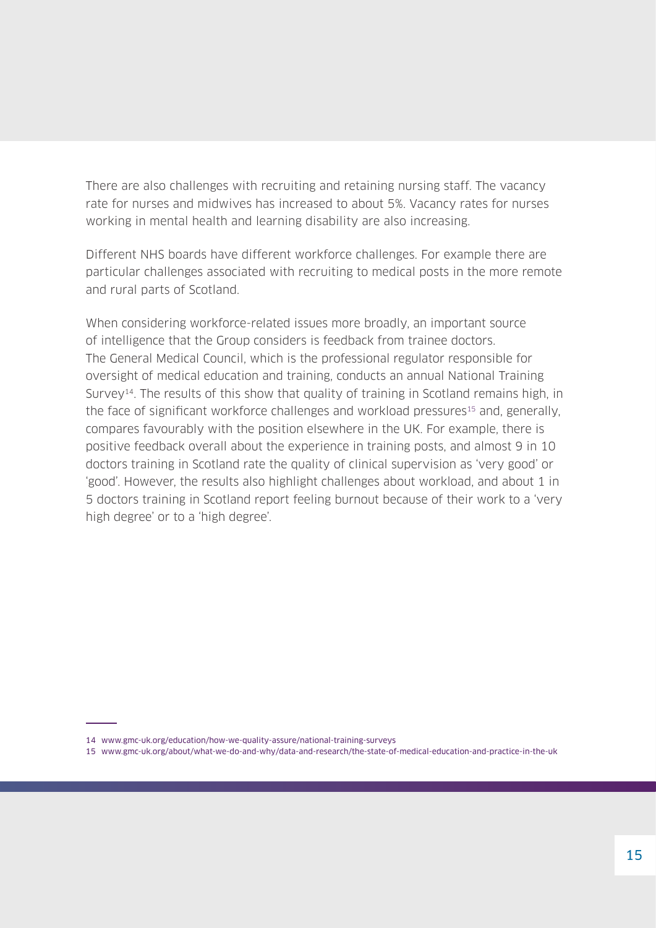There are also challenges with recruiting and retaining nursing staff. The vacancy rate for nurses and midwives has increased to about 5%. Vacancy rates for nurses working in mental health and learning disability are also increasing.

Different NHS boards have different workforce challenges. For example there are particular challenges associated with recruiting to medical posts in the more remote and rural parts of Scotland.

When considering workforce-related issues more broadly, an important source of intelligence that the Group considers is feedback from trainee doctors. The General Medical Council, which is the professional regulator responsible for oversight of medical education and training, conducts an annual National Training Survey<sup>14</sup>. The results of this show that quality of training in Scotland remains high, in the face of significant workforce challenges and workload pressures<sup>15</sup> and, generally, compares favourably with the position elsewhere in the UK. For example, there is positive feedback overall about the experience in training posts, and almost 9 in 10 doctors training in Scotland rate the quality of clinical supervision as 'very good' or 'good'. However, the results also highlight challenges about workload, and about 1 in 5 doctors training in Scotland report feeling burnout because of their work to a 'very high degree' or to a 'high degree'.

<sup>14</sup> [www.gmc-uk.org/education/how-we-quality-assure/national-training-surveys](https://www.gmc-uk.org/education/how-we-quality-assure/national-training-surveys)

<sup>15</sup> [www.gmc-uk.org/about/what-we-do-and-why/data-and-research/the-state-of-medical-education-and-practice-in-the-uk](https://www.gmc-uk.org/about/what-we-do-and-why/data-and-research/the-state-of-medical-education-and-practice-in-the-uk)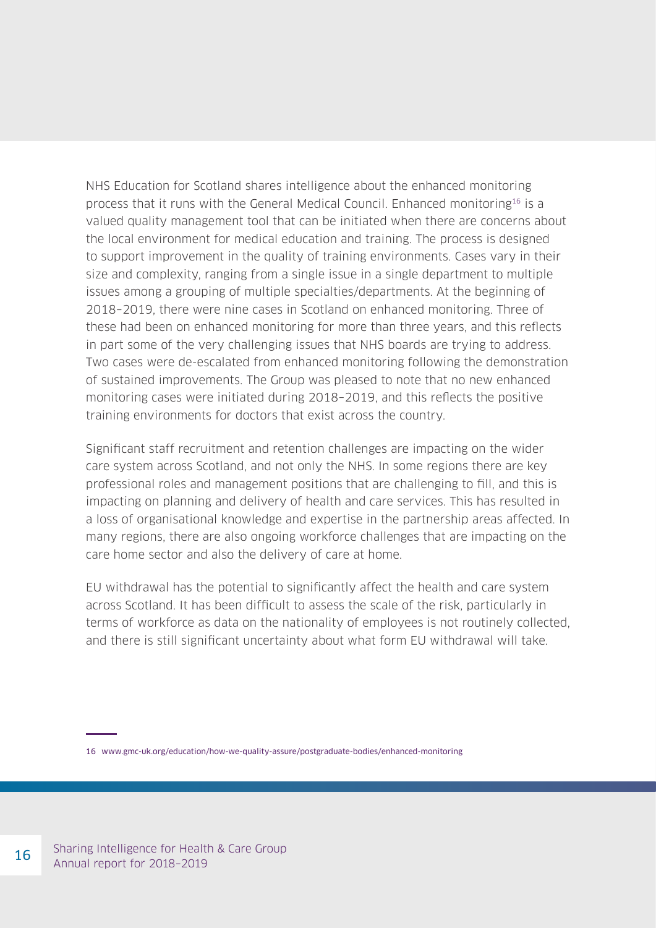NHS Education for Scotland shares intelligence about the enhanced monitoring process that it runs with the General Medical Council. Enhanced monitoring<sup>16</sup> is a valued quality management tool that can be initiated when there are concerns about the local environment for medical education and training. The process is designed to support improvement in the quality of training environments. Cases vary in their size and complexity, ranging from a single issue in a single department to multiple issues among a grouping of multiple specialties/departments. At the beginning of 2018–2019, there were nine cases in Scotland on enhanced monitoring. Three of these had been on enhanced monitoring for more than three years, and this reflects in part some of the very challenging issues that NHS boards are trying to address. Two cases were de-escalated from enhanced monitoring following the demonstration of sustained improvements. The Group was pleased to note that no new enhanced monitoring cases were initiated during 2018–2019, and this reflects the positive training environments for doctors that exist across the country.

Significant staff recruitment and retention challenges are impacting on the wider care system across Scotland, and not only the NHS. In some regions there are key professional roles and management positions that are challenging to fill, and this is impacting on planning and delivery of health and care services. This has resulted in a loss of organisational knowledge and expertise in the partnership areas affected. In many regions, there are also ongoing workforce challenges that are impacting on the care home sector and also the delivery of care at home.

EU withdrawal has the potential to significantly affect the health and care system across Scotland. It has been difficult to assess the scale of the risk, particularly in terms of workforce as data on the nationality of employees is not routinely collected, and there is still significant uncertainty about what form EU withdrawal will take.

16 [www.gmc-uk.org/education/how-we-quality-assure/postgraduate-bodies/enhanced-monitoring](https://www.gmc-uk.org/education/how-we-quality-assure/postgraduate-bodies/enhanced-monitoring)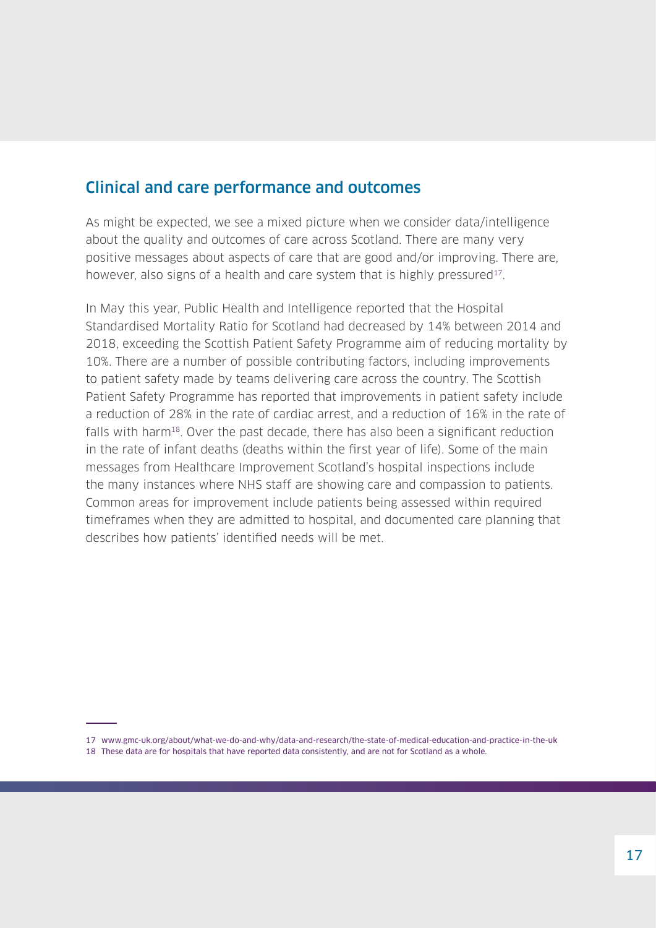#### Clinical and care performance and outcomes

As might be expected, we see a mixed picture when we consider data/intelligence about the quality and outcomes of care across Scotland. There are many very positive messages about aspects of care that are good and/or improving. There are, however, also signs of a health and care system that is highly pressured<sup>17</sup>.

In May this year, Public Health and Intelligence reported that the Hospital Standardised Mortality Ratio for Scotland had decreased by 14% between 2014 and 2018, exceeding the Scottish Patient Safety Programme aim of reducing mortality by 10%. There are a number of possible contributing factors, including improvements to patient safety made by teams delivering care across the country. The Scottish Patient Safety Programme has reported that improvements in patient safety include a reduction of 28% in the rate of cardiac arrest, and a reduction of 16% in the rate of falls with harm<sup>18</sup>. Over the past decade, there has also been a significant reduction in the rate of infant deaths (deaths within the first year of life). Some of the main messages from Healthcare Improvement Scotland's hospital inspections include the many instances where NHS staff are showing care and compassion to patients. Common areas for improvement include patients being assessed within required timeframes when they are admitted to hospital, and documented care planning that describes how patients' identified needs will be met.

<sup>17</sup> [www.gmc-uk.org/about/what-we-do-and-why/data-and-research/the-state-of-medical-education-and-practice-in-the-uk](https://www.gmc-uk.org/about/what-we-do-and-why/data-and-research/the-state-of-medical-education-and-practice-in-the-uk) 

<sup>18</sup> These data are for hospitals that have reported data consistently, and are not for Scotland as a whole.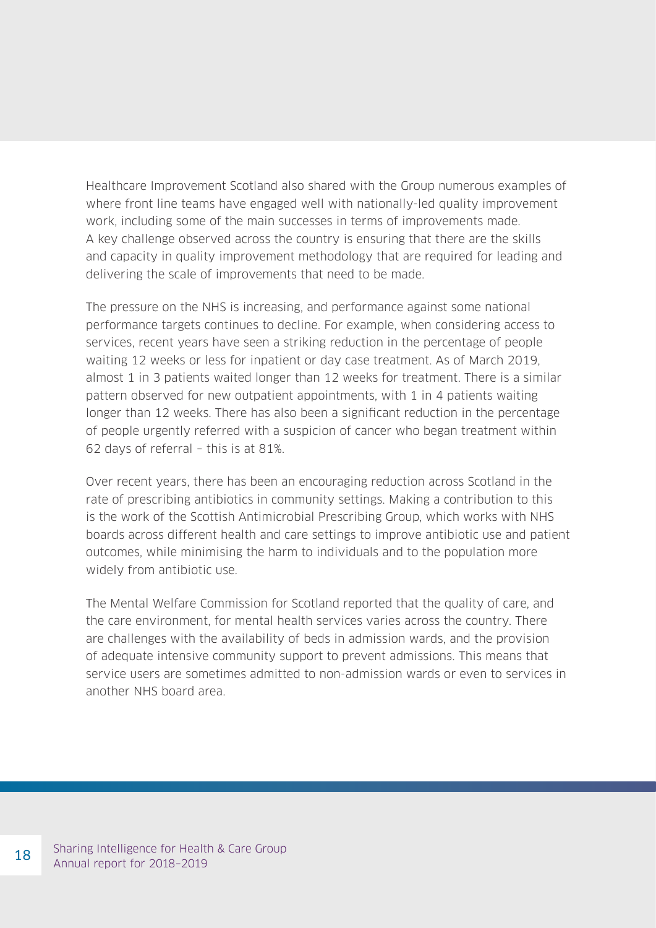Healthcare Improvement Scotland also shared with the Group numerous examples of where front line teams have engaged well with nationally-led quality improvement work, including some of the main successes in terms of improvements made. A key challenge observed across the country is ensuring that there are the skills and capacity in quality improvement methodology that are required for leading and delivering the scale of improvements that need to be made.

The pressure on the NHS is increasing, and performance against some national performance targets continues to decline. For example, when considering access to services, recent years have seen a striking reduction in the percentage of people waiting 12 weeks or less for inpatient or day case treatment. As of March 2019, almost 1 in 3 patients waited longer than 12 weeks for treatment. There is a similar pattern observed for new outpatient appointments, with 1 in 4 patients waiting longer than 12 weeks. There has also been a significant reduction in the percentage of people urgently referred with a suspicion of cancer who began treatment within 62 days of referral – this is at 81%.

Over recent years, there has been an encouraging reduction across Scotland in the rate of prescribing antibiotics in community settings. Making a contribution to this is the work of the Scottish Antimicrobial Prescribing Group, which works with NHS boards across different health and care settings to improve antibiotic use and patient outcomes, while minimising the harm to individuals and to the population more widely from antibiotic use.

The Mental Welfare Commission for Scotland reported that the quality of care, and the care environment, for mental health services varies across the country. There are challenges with the availability of beds in admission wards, and the provision of adequate intensive community support to prevent admissions. This means that service users are sometimes admitted to non-admission wards or even to services in another NHS board area.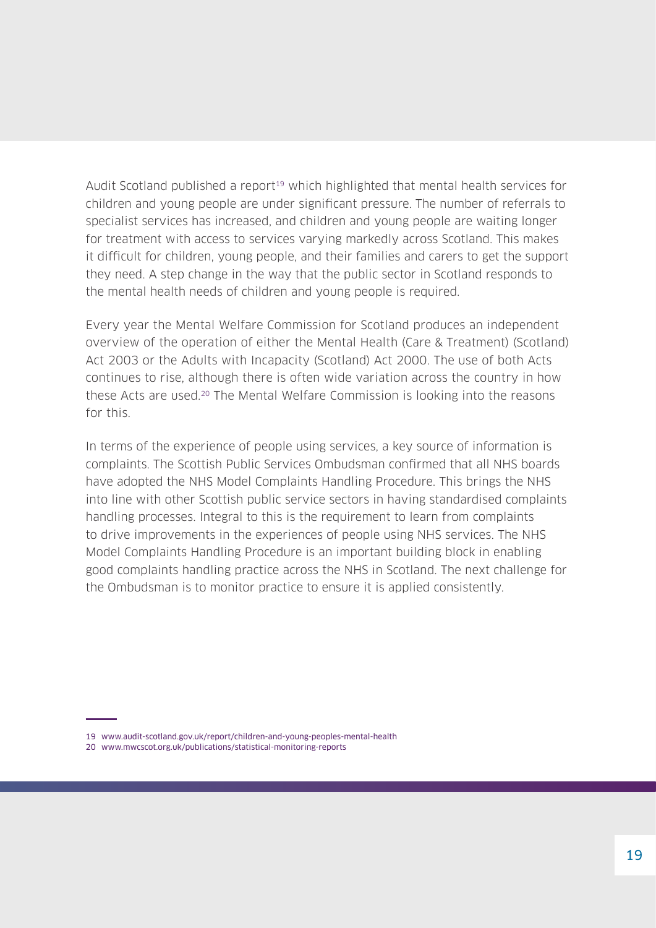Audit Scotland published a report<sup>19</sup> which highlighted that mental health services for children and young people are under significant pressure. The number of referrals to specialist services has increased, and children and young people are waiting longer for treatment with access to services varying markedly across Scotland. This makes it difficult for children, young people, and their families and carers to get the support they need. A step change in the way that the public sector in Scotland responds to the mental health needs of children and young people is required.

Every year the Mental Welfare Commission for Scotland produces an independent overview of the operation of either the Mental Health (Care & Treatment) (Scotland) Act 2003 or the Adults with Incapacity (Scotland) Act 2000. The use of both Acts continues to rise, although there is often wide variation across the country in how these Acts are used.20 The Mental Welfare Commission is looking into the reasons for this.

In terms of the experience of people using services, a key source of information is complaints. The Scottish Public Services Ombudsman confirmed that all NHS boards have adopted the NHS Model Complaints Handling Procedure. This brings the NHS into line with other Scottish public service sectors in having standardised complaints handling processes. Integral to this is the requirement to learn from complaints to drive improvements in the experiences of people using NHS services. The NHS Model Complaints Handling Procedure is an important building block in enabling good complaints handling practice across the NHS in Scotland. The next challenge for the Ombudsman is to monitor practice to ensure it is applied consistently.

<sup>19</sup> [www.audit-scotland.gov.uk/report/children-and-young-peoples-mental-health](https://www.audit-scotland.gov.uk/report/children-and-young-peoples-mental-health)

<sup>20</sup> [www.mwcscot.org.uk/publications/statistical-monitoring-reports](https://www.mwcscot.org.uk/publications/statistical-monitoring-reports/)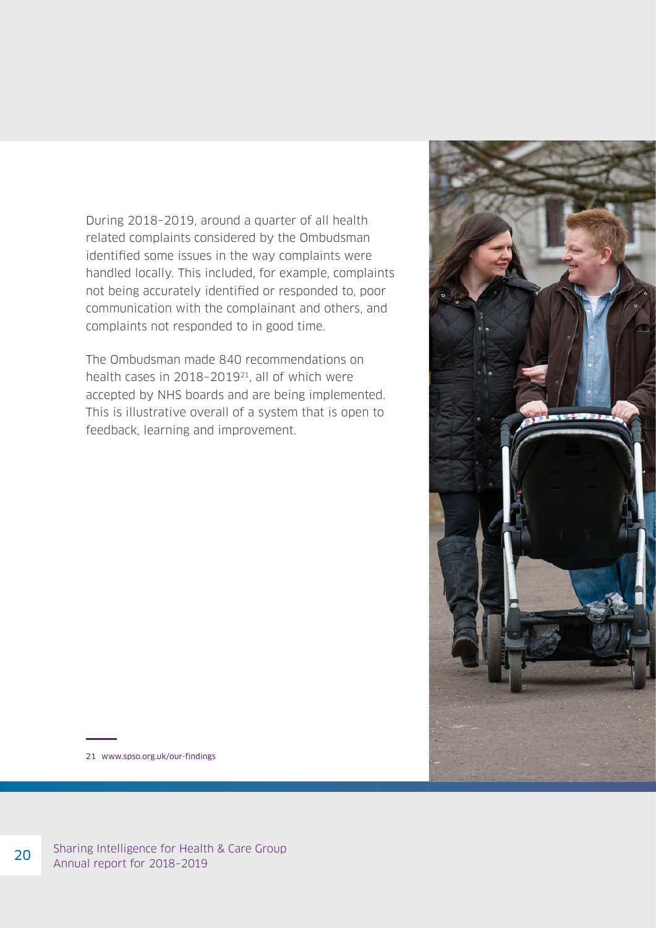During 2018–2019, around a quarter of all health related complaints considered by the Ombudsman identified some issues in the way complaints were handled locally. This included, for example, complaints not being accurately identified or responded to, poor communication with the complainant and others, and complaints not responded to in good time.

The Ombudsman made 840 recommendations on health cases in 2018–201921, all of which were accepted by NHS boards and are being implemented. This is illustrative overall of a system that is open to feedback, learning and improvement.



21 [www.spso.org.uk/our-findings](https://www.spso.org.uk/our-findings)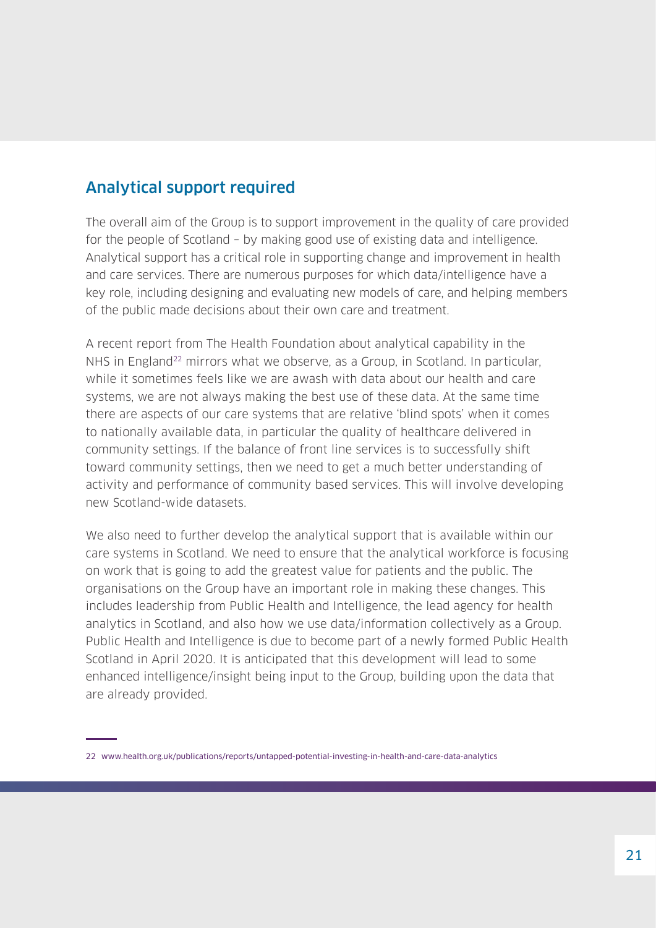## Analytical support required

The overall aim of the Group is to support improvement in the quality of care provided for the people of Scotland – by making good use of existing data and intelligence. Analytical support has a critical role in supporting change and improvement in health and care services. There are numerous purposes for which data/intelligence have a key role, including designing and evaluating new models of care, and helping members of the public made decisions about their own care and treatment.

A recent report from The Health Foundation about analytical capability in the NHS in England<sup>22</sup> mirrors what we observe, as a Group, in Scotland. In particular, while it sometimes feels like we are awash with data about our health and care systems, we are not always making the best use of these data. At the same time there are aspects of our care systems that are relative 'blind spots' when it comes to nationally available data, in particular the quality of healthcare delivered in community settings. If the balance of front line services is to successfully shift toward community settings, then we need to get a much better understanding of activity and performance of community based services. This will involve developing new Scotland-wide datasets.

We also need to further develop the analytical support that is available within our care systems in Scotland. We need to ensure that the analytical workforce is focusing on work that is going to add the greatest value for patients and the public. The organisations on the Group have an important role in making these changes. This includes leadership from Public Health and Intelligence, the lead agency for health analytics in Scotland, and also how we use data/information collectively as a Group. Public Health and Intelligence is due to become part of a newly formed Public Health Scotland in April 2020. It is anticipated that this development will lead to some enhanced intelligence/insight being input to the Group, building upon the data that are already provided.

<sup>22</sup> [www.health.org.uk/publications/reports/untapped-potential-investing-in-health-and-care-data-analytics](https://www.health.org.uk/publications/reports/untapped-potential-investing-in-health-and-care-data-analytics)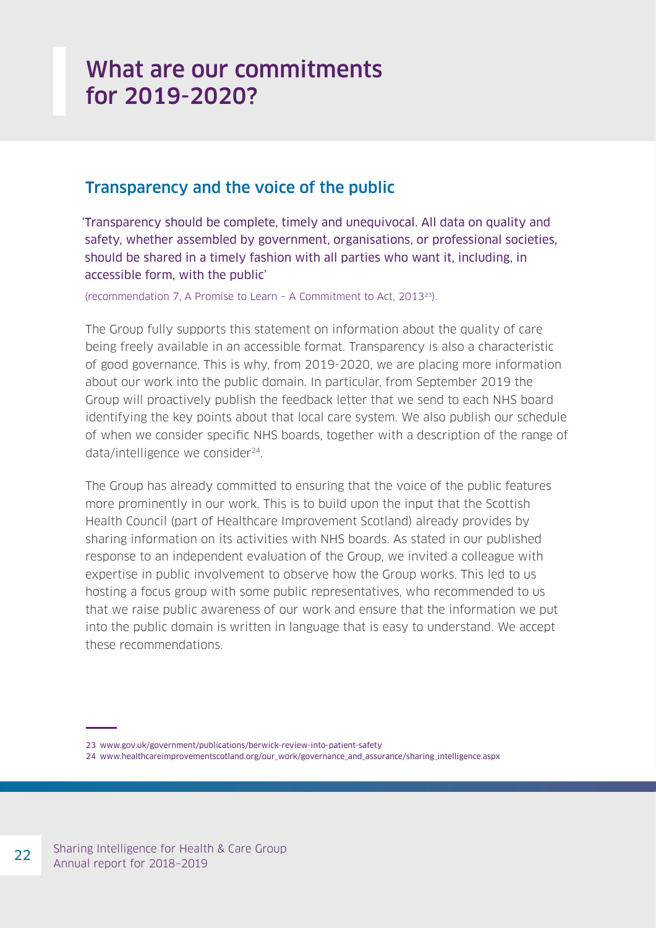## <span id="page-21-0"></span>What are our commitments for 2019-2020?

#### Transparency and the voice of the public

'Transparency should be complete, timely and unequivocal. All data on quality and safety, whether assembled by government, organisations, or professional societies, should be shared in a timely fashion with all parties who want it, including, in accessible form, with the public'

(recommendation 7, A Promise to Learn – A Commitment to Act, 201323).

The Group fully supports this statement on information about the quality of care being freely available in an accessible format. Transparency is also a characteristic of good governance. This is why, from 2019-2020, we are placing more information about our work into the public domain. In particular, from September 2019 the Group will proactively publish the feedback letter that we send to each NHS board identifying the key points about that local care system. We also publish our schedule of when we consider specific NHS boards, together with a description of the range of data/intelligence we consider24.

The Group has already committed to ensuring that the voice of the public features more prominently in our work. This is to build upon the input that the Scottish Health Council (part of Healthcare Improvement Scotland) already provides by sharing information on its activities with NHS boards. As stated in our published response to an independent evaluation of the Group, we invited a colleague with expertise in public involvement to observe how the Group works. This led to us hosting a focus group with some public representatives, who recommended to us that we raise public awareness of our work and ensure that the information we put into the public domain is written in language that is easy to understand. We accept these recommendations.

24 [www.healthcareimprovementscotland.org/our\\_work/governance\\_and\\_assurance/sharing\\_intelligence.aspx](http://www.healthcareimprovementscotland.org/our_work/governance_and_assurance/sharing_intelligence.aspx)

<sup>23</sup> [www.gov.uk/government/publications/berwick-review-into-patient-safety](https://www.gov.uk/government/publications/berwick-review-into-patient-safety)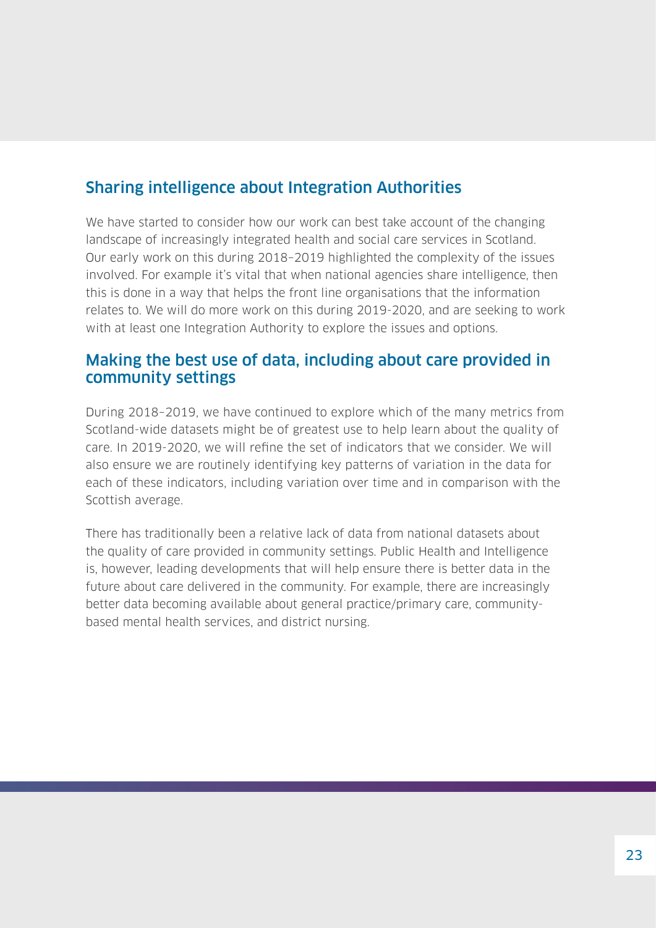## Sharing intelligence about Integration Authorities

We have started to consider how our work can best take account of the changing landscape of increasingly integrated health and social care services in Scotland. Our early work on this during 2018–2019 highlighted the complexity of the issues involved. For example it's vital that when national agencies share intelligence, then this is done in a way that helps the front line organisations that the information relates to. We will do more work on this during 2019-2020, and are seeking to work with at least one Integration Authority to explore the issues and options.

#### Making the best use of data, including about care provided in community settings

During 2018–2019, we have continued to explore which of the many metrics from Scotland-wide datasets might be of greatest use to help learn about the quality of care. In 2019-2020, we will refine the set of indicators that we consider. We will also ensure we are routinely identifying key patterns of variation in the data for each of these indicators, including variation over time and in comparison with the Scottish average.

There has traditionally been a relative lack of data from national datasets about the quality of care provided in community settings. Public Health and Intelligence is, however, leading developments that will help ensure there is better data in the future about care delivered in the community. For example, there are increasingly better data becoming available about general practice/primary care, communitybased mental health services, and district nursing.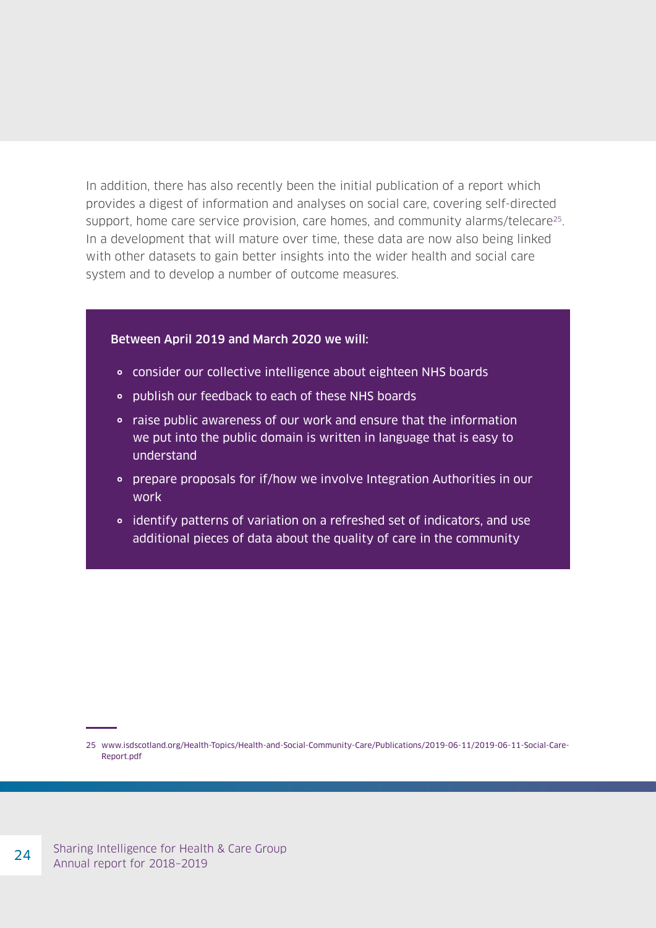In addition, there has also recently been the initial publication of a report which provides a digest of information and analyses on social care, covering self-directed support, home care service provision, care homes, and community alarms/telecare<sup>25</sup>. In a development that will mature over time, these data are now also being linked with other datasets to gain better insights into the wider health and social care system and to develop a number of outcome measures.

#### Between April 2019 and March 2020 we will:

- consider our collective intelligence about eighteen NHS boards
- publish our feedback to each of these NHS boards
- raise public awareness of our work and ensure that the information we put into the public domain is written in language that is easy to understand
- prepare proposals for if/how we involve Integration Authorities in our work
- identify patterns of variation on a refreshed set of indicators, and use additional pieces of data about the quality of care in the community

<sup>25</sup> [www.isdscotland.org/Health-Topics/Health-and-Social-Community-Care/Publications/2019-06-11/2019-06-11-Social-Care-](https://www.isdscotland.org/Health-Topics/Health-and-Social-Community-Care/Publications/2019-06-11/2019-06-11-Social-Care-Report.pdf)[Report.pdf](https://www.isdscotland.org/Health-Topics/Health-and-Social-Community-Care/Publications/2019-06-11/2019-06-11-Social-Care-Report.pdf)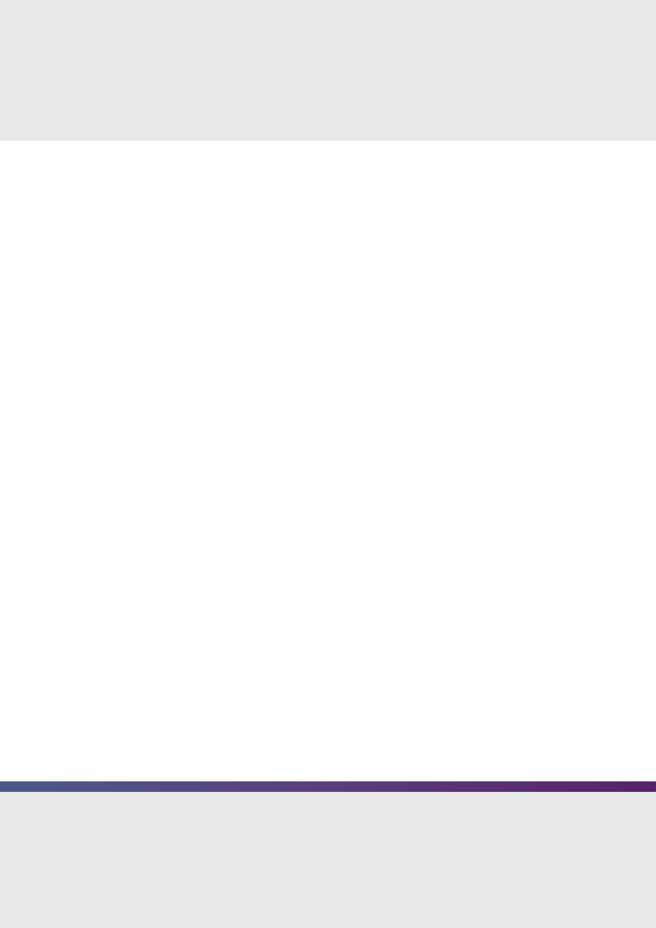<u>. Katalunan di kacamatan ing kabupatèn Kabupatèn Banggunan Kabupatèn Kabupatèn Kabupatèn Kabupatèn Kabupatèn </u>